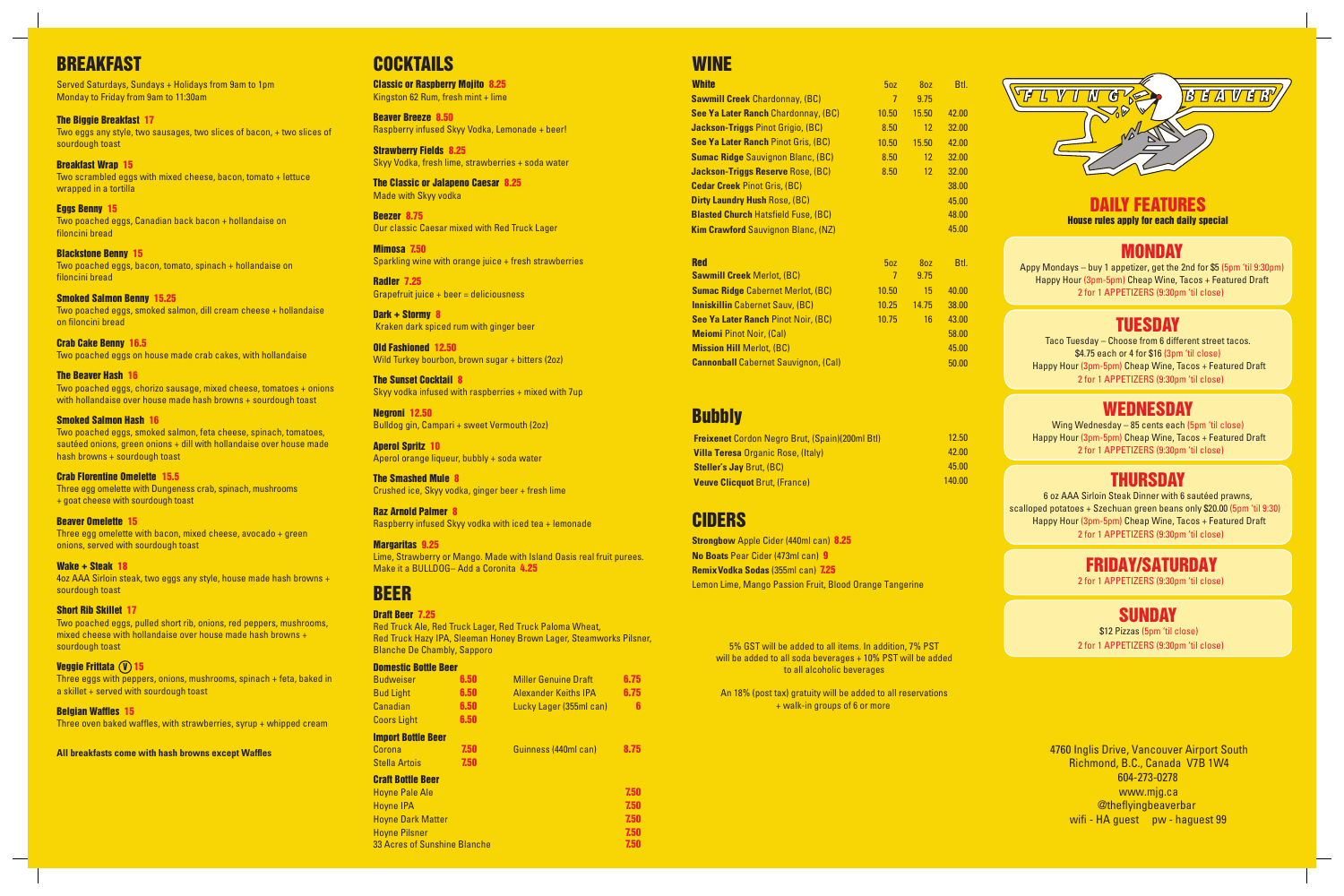4760 Inglis Drive, Vancouver Airport South Richmond, B.C., Canada V7B 1W4 604-273-0278 www.mjg.ca @theflyingbeaverbar wifi - HA quest pw - haquest 99

Two poached eggs, chorizo sausage, mixed cheese, tomatoes + onions with hollandaise over house made hash browns + sourdough toast

# **BREAKFAST**

Served Saturdays, Sundays + Holidays from 9am to 1pm Monday to Friday from 9am to 11:30am

The Biggie Breakfast 17 Two eggs any style, two sausages, two slices of bacon, + two slices of sourdough toast

Breakfast Wrap 15 Two scrambled eggs with mixed cheese, bacon, tomato + lettuce wrapped in a tortilla

Eggs Benny 15 Two poached eggs, Canadian back bacon + hollandaise on filoncini bread

Three eggs with peppers, onions, mushrooms, spinach + feta, baked in a skillet + served with sourdough toast

Blackstone Benny 15 Two poached eggs, bacon, tomato, spinach + hollandaise on filoncini bread

Smoked Salmon Benny 15.25 Two poached eggs, smoked salmon, dill cream cheese + hollandaise on filoncini bread

Classic or Raspberry Mojito 8.25 Kingston 62 Rum, fresh mint + lime

Crab Cake Benny 16.5 Two poached eggs on house made crab cakes, with hollandaise

> The Sunset Cocktail 8 Skyy vodka infused with raspberries  $+$  mixed with 7up

Two poached eggs, smoked salmon, feta cheese, spinach, tomatoes, sautéed onions, green onions + dill with hollandaise over house made hash browns + sourdough toast

Three egg omelette with Dungeness crab, spinach, mushrooms + goat cheese with sourdough toast

Three egg omelette with bacon, mixed cheese, avocado + green onions, served with sourdough toast

#### Import Bottle Beer  $C<sub>0</sub>$

4oz AAA Sirloin steak, two eggs any style, house made hash browns + sourdough toast

Two poached eggs, pulled short rib, onions, red peppers, mushrooms, mixed cheese with hollandaise over house made hash browns + sourdough toast

Three oven baked waffles, with strawberries, syrup + whipped cream

House rules apply for each daily special DAILY FEATURES

**All breakfasts come with hash browns except Waffles** 

# **COCKTAILS**

Appy Mondays – buy 1 appetizer, get the 2nd for \$5 (5pm 'til 9:30pm) Happy Hour (3pm-5pm) Cheap Wine, Tacos + Featured Draft 2 for 1 APPETIZERS (9:30pm 'til close)

### **TUESDAY**

Beaver Breeze 8.50 Raspberry infused Skyy Vodka, Lemonade + beer!

Strawberry Fields 8.25 Skyy Vodka, fresh lime, strawberries + soda water

The Classic or Jalapeno Caesar 8.25 Made with Skyy vodka

> Taco Tuesday – Choose from 6 different street tacos. \$4.75 each or 4 for \$16 (3pm 'til close) Happy Hour (3pm-5pm) Cheap Wine, Tacos + Featured Draft 2 for 1 APPETIZERS (9:30pm 'til close)

# **WEDNESDAY**

Beezer 8.75 Our classic Caesar mixed with Red Truck Lager

Mimosa 7.50 Sparkling wine with orange juice + fresh strawberries

> Wing Wednesday – 85 cents each (5pm 'til close) Happy Hour (3pm-5pm) Cheap Wine, Tacos + Featured Draft 2 for 1 APPETIZERS (9:30pm 'til close)

# **THURSDAY**

Radler 7.25 Grapefruit juice + beer = deliciousness

> 6 oz AAA Sirloin Steak Dinner with 6 sautéed prawns, scalloped potatoes + Szechuan green beans only \$20.00 (5pm 'til 9:30) Happy Hour (3pm-5pm) Cheap Wine, Tacos + Featured Draft 2 for 1 APPETIZERS (9:30pm 'til close)

Dark + Stormy 8 Kraken dark spiced rum with ginger beer

Old Fashioned 12.50 Wild Turkey bourbon, brown sugar + bitters (2oz)

> \$12 Pizzas (5pm 'til close) 2 for 1 APPETIZERS (9:30pm 'til close)

Negroni 12.50 Bulldog gin, Campari + sweet Vermouth (2oz)

Aperol Spritz 10 Aperol orange liqueur, bubbly + soda water

#### The Beaver Hash 16

Crushed ice, Skyy vodka, ginger beer + fresh lime

#### Smoked Salmon Hash 16

Raspberry infused Skyy vodka with iced tea + lemonade

#### Crab Florentine Omelette 15.5

### BEER

#### Beaver Omelette 15

#### Wake + Steak 18

Red Truck Ale, Red Truck Lager, Red Truck Paloma Wheat, Red Truck Hazy IPA, Sleeman Honey Brown Lager, Steamworks Pilsner, Blanche De Chambly, Sapporo

#### Short Rib Skillet 17

#### Domestic Bottle Beer

#### Veggie Frittata V 15

#### Belgian Waffles 15

| <b>White</b>                               | 50 <sub>Z</sub> | 80Z   | Btl.  |
|--------------------------------------------|-----------------|-------|-------|
| <b>Sawmill Creek Chardonnay, (BC)</b>      | 7               | 9.75  |       |
| <b>See Ya Later Ranch Chardonnay, (BC)</b> | 10.50           | 15.50 | 42.00 |
| Jackson-Triggs Pinot Grigio, (BC)          | 8.50            | 12    | 32.00 |
| <b>See Ya Later Ranch Pinot Gris, (BC)</b> | 10.50           | 15.50 | 42.00 |
| <b>Sumac Ridge</b> Sauvignon Blanc, (BC)   | 8.50            | 12    | 32.00 |
| Jackson-Triggs Reserve Rose, (BC)          | 8.50            | 12    | 32.00 |
| <b>Cedar Creek Pinot Gris, (BC)</b>        |                 |       | 38.00 |
| <b>Dirty Laundry Hush Rose, (BC)</b>       |                 |       | 45.00 |
| <b>Blasted Church Hatsfield Fuse, (BC)</b> |                 |       | 48.00 |
| <b>Kim Crawford</b> Sauvignon Blanc, (NZ)  |                 |       | 45.00 |

#### The Smashed Mule 8

#### Raz Arnold Palmer 8

#### Margaritas 9.25

Lime, Strawberry or Mango. Made with Island Oasis real fruit purees. Make it a BULLDOG– Add a Coronita 4.25

#### Draft Beer 7.25

| <b>Budweiser</b>   | 6.50. | <b>Miller Genuine Draft</b> | 6.75 |
|--------------------|-------|-----------------------------|------|
| <b>Bud Light</b>   | 6.50  | <b>Alexander Keiths IPA</b> | 6.75 |
| Canadian           | 6.50  | Lucky Lager (355ml can)     | ĥ    |
| <b>Coors Light</b> | 6.50  |                             |      |

### CIDERS

| Corona                   | 7.50 | Guinness (440ml can) | 8.75 |
|--------------------------|------|----------------------|------|
| <b>Stella Artois</b>     | 7.50 |                      |      |
| <b>Craft Bottle Beer</b> |      |                      |      |
| <b>Hoyne Pale Ale</b>    |      |                      | 7.50 |
| <b>Hoyne IPA</b>         |      |                      | 7.50 |
| <b>Hoyne Dark Matter</b> |      |                      | 7.50 |

| <b>Freixenet</b> Cordon Negro Brut, (Spain)(200ml Btl) | 12.50  |
|--------------------------------------------------------|--------|
| <b>Villa Teresa Organic Rose, (Italy)</b>              | 42.00  |
| <b>Steller's Jay Brut. (BC)</b>                        | 45.00  |
| <b>Veuve Clicquot Brut, (France)</b>                   | 140.00 |

### MONDAY

| 50z   | 80Z   | Btl.  |
|-------|-------|-------|
| 7     | 9.75  |       |
| 10.50 | 15    | 40.00 |
| 10.25 | 14.75 | 38.00 |
| 10.75 | 16    | 43.00 |
|       |       | 58.00 |
|       |       | 45.00 |
|       |       | 50.00 |
|       |       |       |

### **Bubbly**

# FRIDAY/SATURDAY

### SUNDAY

**Strongbow** Apple Cider (440ml can) 8.25 **No Boats** Pear Cider (473ml can) 9 **Remix Vodka Sodas** (355ml can) 7.25Lemon Lime, Mango Passion Fruit, Blood Orange Tangerine

2 for 1 APPETIZERS (9:30pm 'til close)

Hoyne Pilsner

33 Acres of Sunshine Blanche

7.50 7.50

### **WINE**

5% GST will be added to all items. In addition, 7% PST will be added to all soda beverages + 10% PST will be added to all alcoholic beverages

An 18% (post tax) gratuity will be added to all reservations + walk-in groups of 6 or more